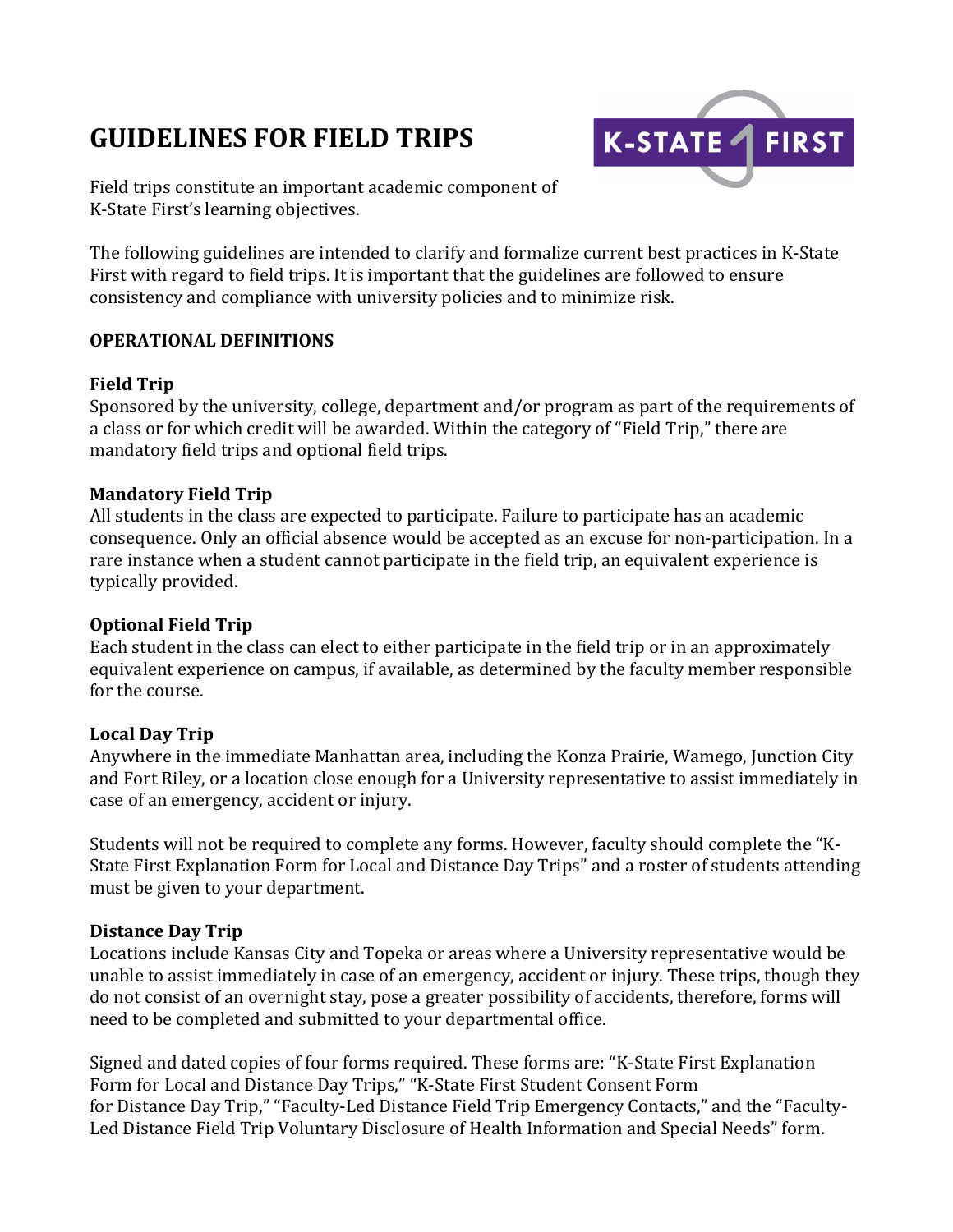# **GUIDELINES FOR FIELD TRIPS**



Field trips constitute an important academic component of K-State First's learning objectives.

The following guidelines are intended to clarify and formalize current best practices in K-State First with regard to field trips. It is important that the guidelines are followed to ensure consistency and compliance with university policies and to minimize risk.

### **OPERATIONAL DEFINITIONS**

### **Field Trip**

Sponsored by the university, college, department and/or program as part of the requirements of a class or for which credit will be awarded. Within the category of "Field Trip," there are mandatory field trips and optional field trips.

### **Mandatory Field Trip**

All students in the class are expected to participate. Failure to participate has an academic consequence. Only an official absence would be accepted as an excuse for non-participation. In a rare instance when a student cannot participate in the field trip, an equivalent experience is typically provided.

# **Optional Field Trip**

Each student in the class can elect to either participate in the field trip or in an approximately equivalent experience on campus, if available, as determined by the faculty member responsible for the course.

# **Local Day Trip**

Anywhere in the immediate Manhattan area, including the Konza Prairie, Wamego, Junction City and Fort Riley, or a location close enough for a University representative to assist immediately in case of an emergency, accident or injury.

Students will not be required to complete any forms. However, faculty should complete the "K-State First Explanation Form for Local and Distance Day Trips" and a roster of students attending must be given to your department.

### **Distance Day Trip**

Locations include Kansas City and Topeka or areas where a University representative would be unable to assist immediately in case of an emergency, accident or injury. These trips, though they do not consist of an overnight stay, pose a greater possibility of accidents, therefore, forms will need to be completed and submitted to your departmental office.

Signed and dated copies of four forms required. These forms are: "K-State First Explanation Form for Local and Distance Day Trips," "K-State First Student Consent Form for Distance Day Trip," "Faculty-Led Distance Field Trip Emergency Contacts," and the "Faculty-Led Distance Field Trip Voluntary Disclosure of Health Information and Special Needs" form.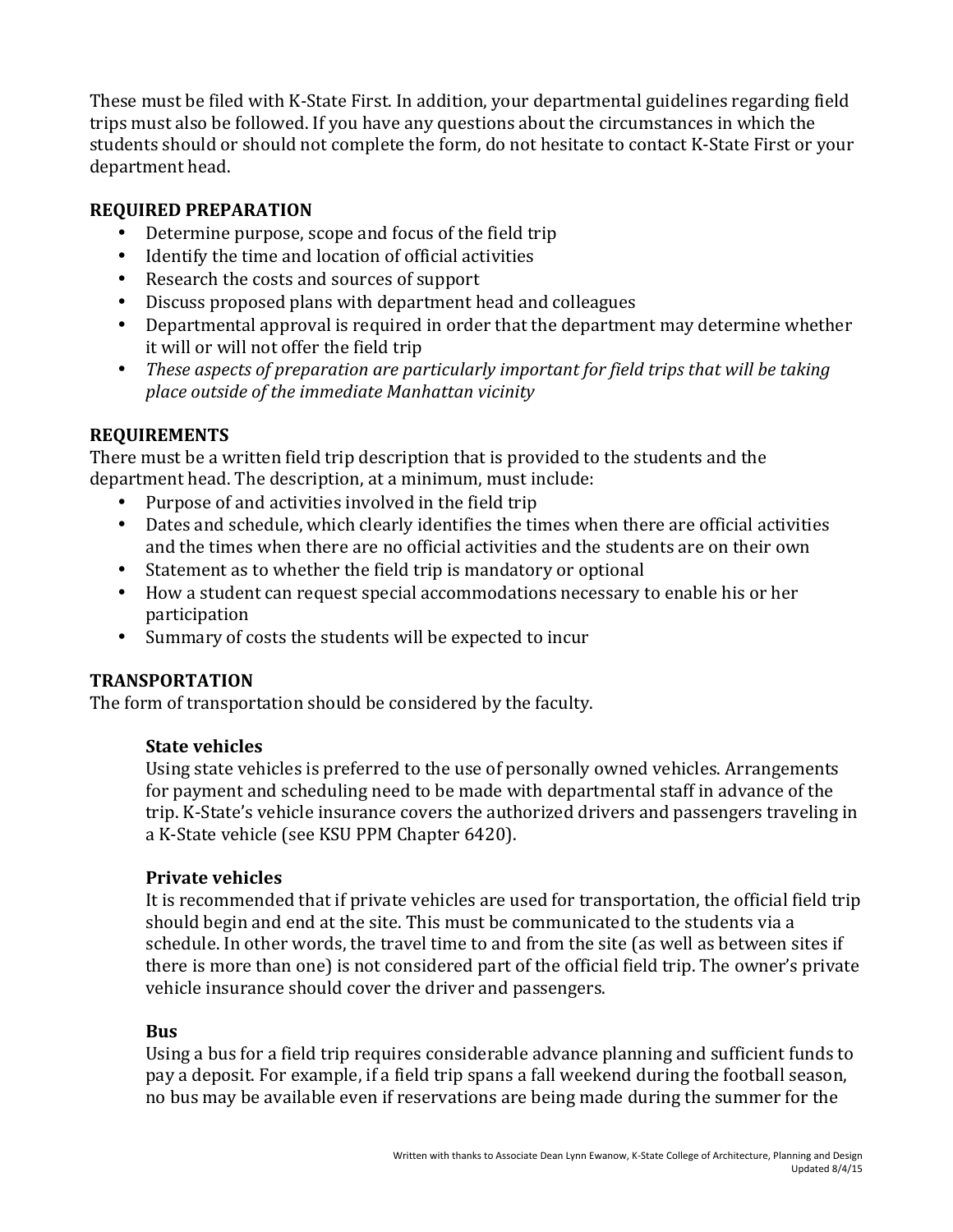These must be filed with K-State First. In addition, your departmental guidelines regarding field trips must also be followed. If you have any questions about the circumstances in which the students should or should not complete the form, do not hesitate to contact K-State First or your department head.

# **REQUIRED PREPARATION**

- Determine purpose, scope and focus of the field trip
- Identify the time and location of official activities
- Research the costs and sources of support
- Discuss proposed plans with department head and colleagues
- Departmental approval is required in order that the department may determine whether it will or will not offer the field trip
- These aspects of preparation are particularly important for field trips that will be taking *place outside of the immediate Manhattan vicinity*

# **REQUIREMENTS**

There must be a written field trip description that is provided to the students and the department head. The description, at a minimum, must include:

- Purpose of and activities involved in the field trip
- Dates and schedule, which clearly identifies the times when there are official activities and the times when there are no official activities and the students are on their own
- Statement as to whether the field trip is mandatory or optional
- How a student can request special accommodations necessary to enable his or her participation
- Summary of costs the students will be expected to incur

# **TRANSPORTATION**

The form of transportation should be considered by the faculty.

# **State vehicles**

Using state vehicles is preferred to the use of personally owned vehicles. Arrangements for payment and scheduling need to be made with departmental staff in advance of the trip. K-State's vehicle insurance covers the authorized drivers and passengers traveling in a K-State vehicle (see KSU PPM Chapter 6420).

# **Private vehicles**

It is recommended that if private vehicles are used for transportation, the official field trip should begin and end at the site. This must be communicated to the students via a schedule. In other words, the travel time to and from the site (as well as between sites if there is more than one) is not considered part of the official field trip. The owner's private vehicle insurance should cover the driver and passengers.

# **Bus**

Using a bus for a field trip requires considerable advance planning and sufficient funds to pay a deposit. For example, if a field trip spans a fall weekend during the football season, no bus may be available even if reservations are being made during the summer for the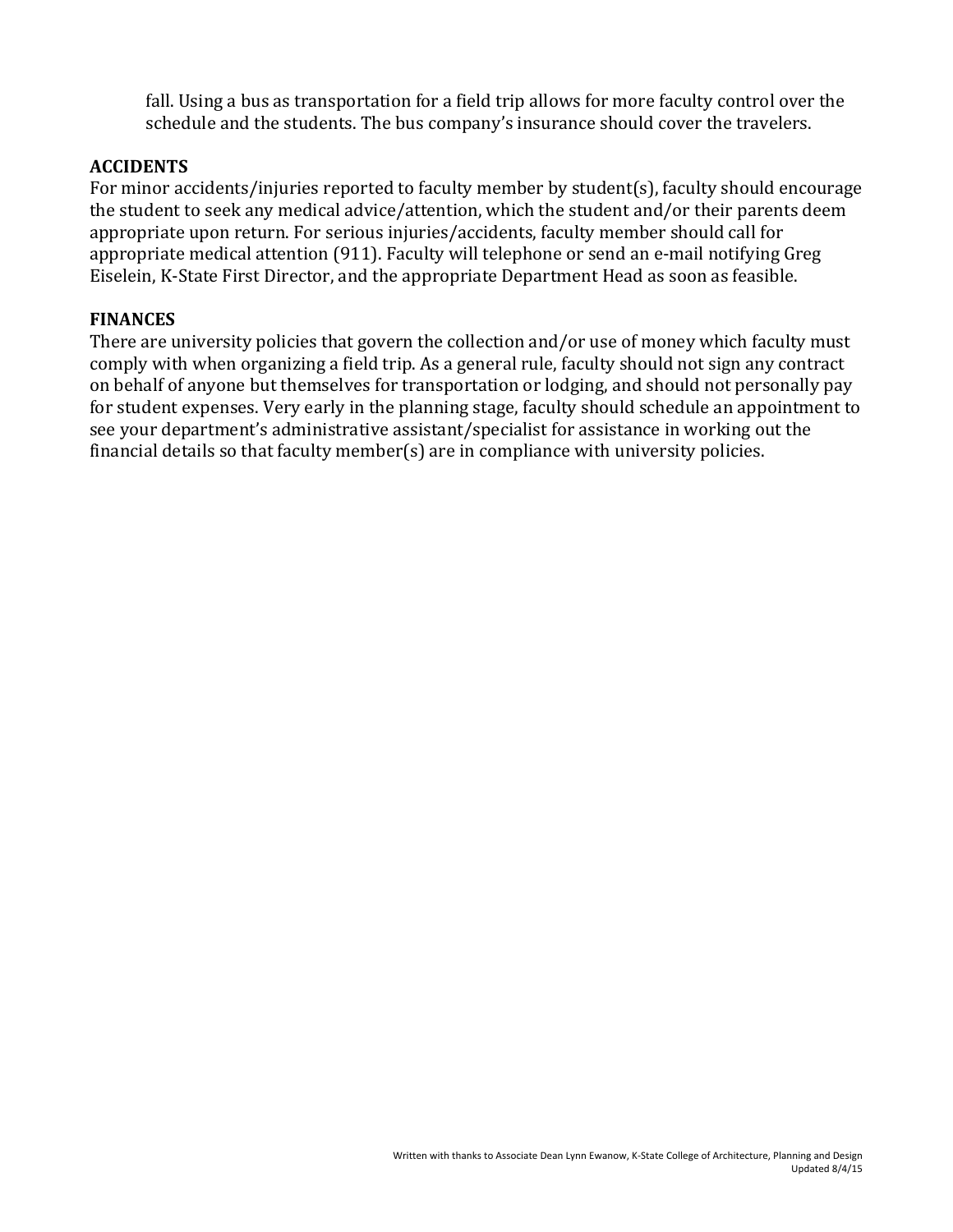fall. Using a bus as transportation for a field trip allows for more faculty control over the schedule and the students. The bus company's insurance should cover the travelers.

# **ACCIDENTS**

For minor accidents/injuries reported to faculty member by student(s), faculty should encourage the student to seek any medical advice/attention, which the student and/or their parents deem appropriate upon return. For serious injuries/accidents, faculty member should call for appropriate medical attention (911). Faculty will telephone or send an e-mail notifying Greg Eiselein, K-State First Director, and the appropriate Department Head as soon as feasible.

### **FINANCES**

There are university policies that govern the collection and/or use of money which faculty must comply with when organizing a field trip. As a general rule, faculty should not sign any contract on behalf of anyone but themselves for transportation or lodging, and should not personally pay for student expenses. Very early in the planning stage, faculty should schedule an appointment to see your department's administrative assistant/specialist for assistance in working out the financial details so that faculty member(s) are in compliance with university policies.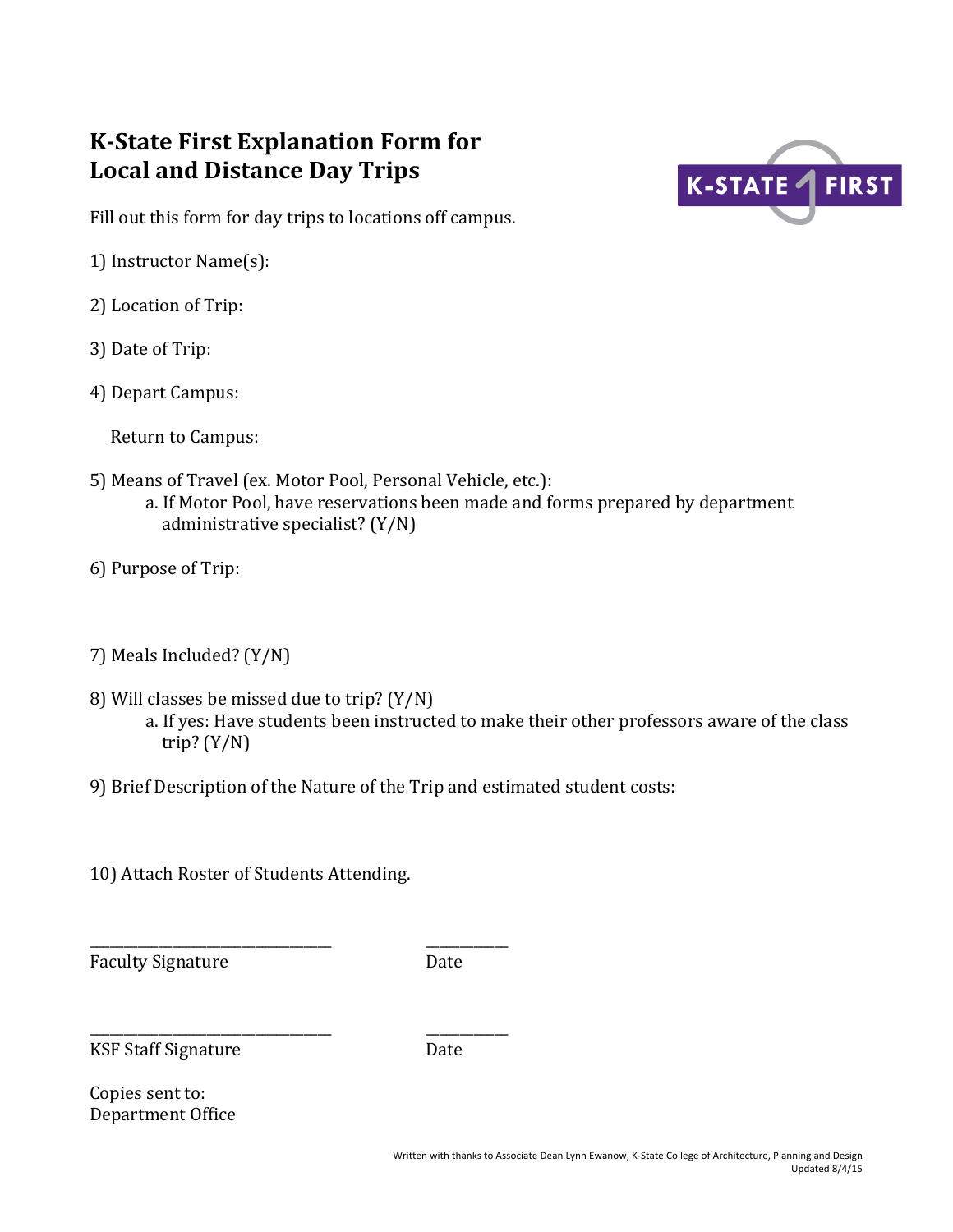# **K-State First Explanation Form for** Local and Distance Day Trips



Fill out this form for day trips to locations off campus.

- 1) Instructor Name(s):
- 2) Location of Trip:
- 3) Date of Trip:
- 4) Depart Campus:

Return to Campus:

- 5) Means of Travel (ex. Motor Pool, Personal Vehicle, etc.): a. If Motor Pool, have reservations been made and forms prepared by department administrative specialist?  $(Y/N)$
- 6) Purpose of Trip:
- 7) Meals Included? (Y/N)
- 8) Will classes be missed due to trip?  $(Y/N)$ a. If yes: Have students been instructed to make their other professors aware of the class trip?  $(Y/N)$
- 9) Brief Description of the Nature of the Trip and estimated student costs:
- 10) Attach Roster of Students Attending.

\_\_\_\_\_\_\_\_\_\_\_\_\_\_\_\_\_\_\_\_\_\_\_\_\_\_\_\_\_\_\_\_\_\_\_ \_\_\_\_\_\_\_\_\_\_\_\_

\_\_\_\_\_\_\_\_\_\_\_\_\_\_\_\_\_\_\_\_\_\_\_\_\_\_\_\_\_\_\_\_\_\_\_ \_\_\_\_\_\_\_\_\_\_\_\_

Faculty Signature Date

KSF Staff Signature Date

Copies sent to: Department Office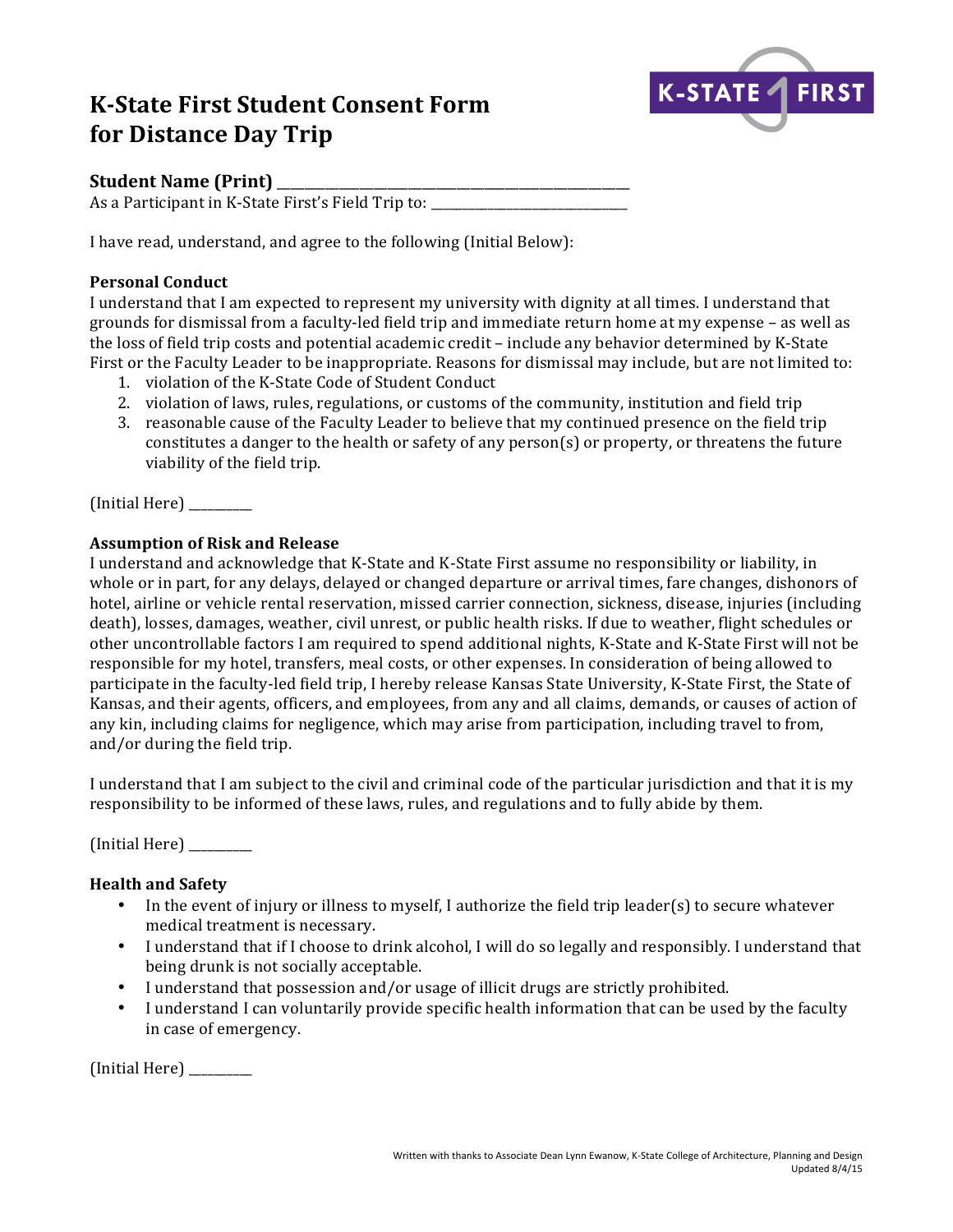# **K-State First Student Consent Form for Distance Day Trip**



# **Student Name (Print)**

As a Participant in K-State First's Field Trip to: \_\_\_\_\_\_\_\_\_\_\_\_\_\_\_\_\_\_\_\_\_\_\_\_\_\_\_\_\_

I have read, understand, and agree to the following (Initial Below):

### **Personal Conduct**

I understand that I am expected to represent my university with dignity at all times. I understand that grounds for dismissal from a faculty-led field trip and immediate return home at my expense – as well as the loss of field trip costs and potential academic credit - include any behavior determined by K-State First or the Faculty Leader to be inappropriate. Reasons for dismissal may include, but are not limited to:

- 1. violation of the K-State Code of Student Conduct
- 2. violation of laws, rules, regulations, or customs of the community, institution and field trip
- 3. reasonable cause of the Faculty Leader to believe that my continued presence on the field trip constitutes a danger to the health or safety of any person(s) or property, or threatens the future viability of the field trip.

(Initial Here) \_\_\_\_\_\_\_\_\_\_

### **Assumption of Risk and Release**

I understand and acknowledge that K-State and K-State First assume no responsibility or liability, in whole or in part, for any delays, delayed or changed departure or arrival times, fare changes, dishonors of hotel, airline or vehicle rental reservation, missed carrier connection, sickness, disease, injuries (including death), losses, damages, weather, civil unrest, or public health risks. If due to weather, flight schedules or other uncontrollable factors I am required to spend additional nights, K-State and K-State First will not be responsible for my hotel, transfers, meal costs, or other expenses. In consideration of being allowed to participate in the faculty-led field trip, I hereby release Kansas State University, K-State First, the State of Kansas, and their agents, officers, and employees, from any and all claims, demands, or causes of action of any kin, including claims for negligence, which may arise from participation, including travel to from, and/or during the field trip.

I understand that I am subject to the civil and criminal code of the particular jurisdiction and that it is my responsibility to be informed of these laws, rules, and regulations and to fully abide by them.

 $[Initial Here]$ 

# **Health and Safety**

- In the event of injury or illness to myself, I authorize the field trip leader(s) to secure whatever medical treatment is necessary.
- I understand that if I choose to drink alcohol, I will do so legally and responsibly. I understand that being drunk is not socially acceptable.
- I understand that possession and/or usage of illicit drugs are strictly prohibited.
- I understand I can voluntarily provide specific health information that can be used by the faculty in case of emergency.

(Initial Here) \_\_\_\_\_\_\_\_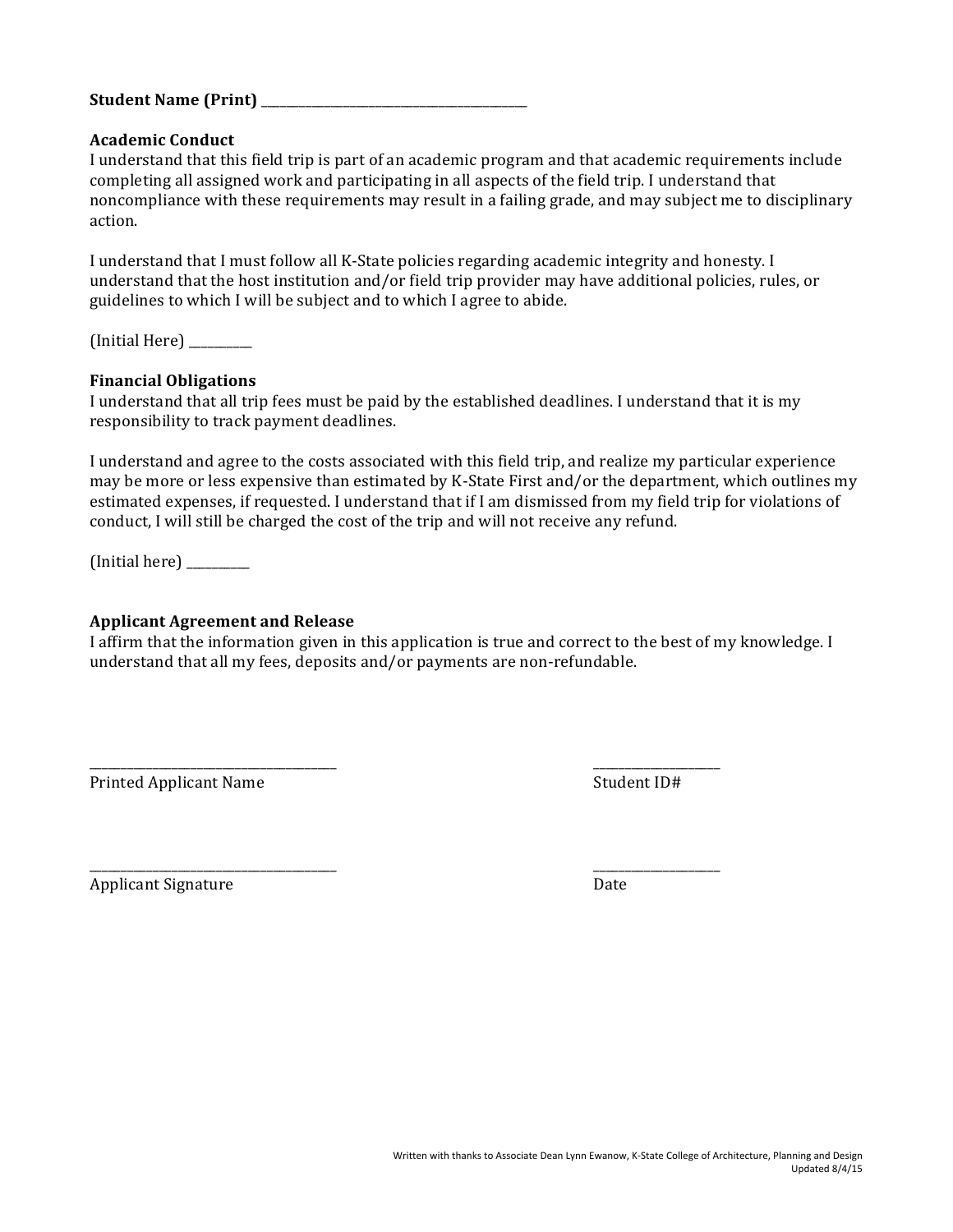#### **Student Name (Print)** \_\_\_\_\_\_\_\_\_\_\_\_\_\_\_\_\_\_\_\_\_\_\_\_\_\_\_\_\_\_\_\_\_\_\_\_\_\_\_\_\_\_

#### **Academic Conduct**

I understand that this field trip is part of an academic program and that academic requirements include completing all assigned work and participating in all aspects of the field trip. I understand that noncompliance with these requirements may result in a failing grade, and may subject me to disciplinary action.

I understand that I must follow all K-State policies regarding academic integrity and honesty. I understand that the host institution and/or field trip provider may have additional policies, rules, or guidelines to which I will be subject and to which I agree to abide.

(Initial Here) \_\_\_\_\_\_\_\_\_\_

#### **Financial Obligations**

I understand that all trip fees must be paid by the established deadlines. I understand that it is my responsibility to track payment deadlines.

I understand and agree to the costs associated with this field trip, and realize my particular experience may be more or less expensive than estimated by K-State First and/or the department, which outlines my estimated expenses, if requested. I understand that if I am dismissed from my field trip for violations of conduct, I will still be charged the cost of the trip and will not receive any refund.

 $(Initial here)$ 

#### **Applicant Agreement and Release**

I affirm that the information given in this application is true and correct to the best of my knowledge. I understand that all my fees, deposits and/or payments are non-refundable.

\_\_\_\_\_\_\_\_\_\_\_\_\_\_\_\_\_\_\_\_\_\_\_\_\_\_\_\_\_\_\_\_\_\_\_\_\_\_\_ \_\_\_\_\_\_\_\_\_\_\_\_\_\_\_\_\_\_\_\_

Printed Applicant Name Student ID#

\_\_\_\_\_\_\_\_\_\_\_\_\_\_\_\_\_\_\_\_\_\_\_\_\_\_\_\_\_\_\_\_\_\_\_\_\_\_\_ \_\_\_\_\_\_\_\_\_\_\_\_\_\_\_\_\_\_\_\_

Applicant Signature Date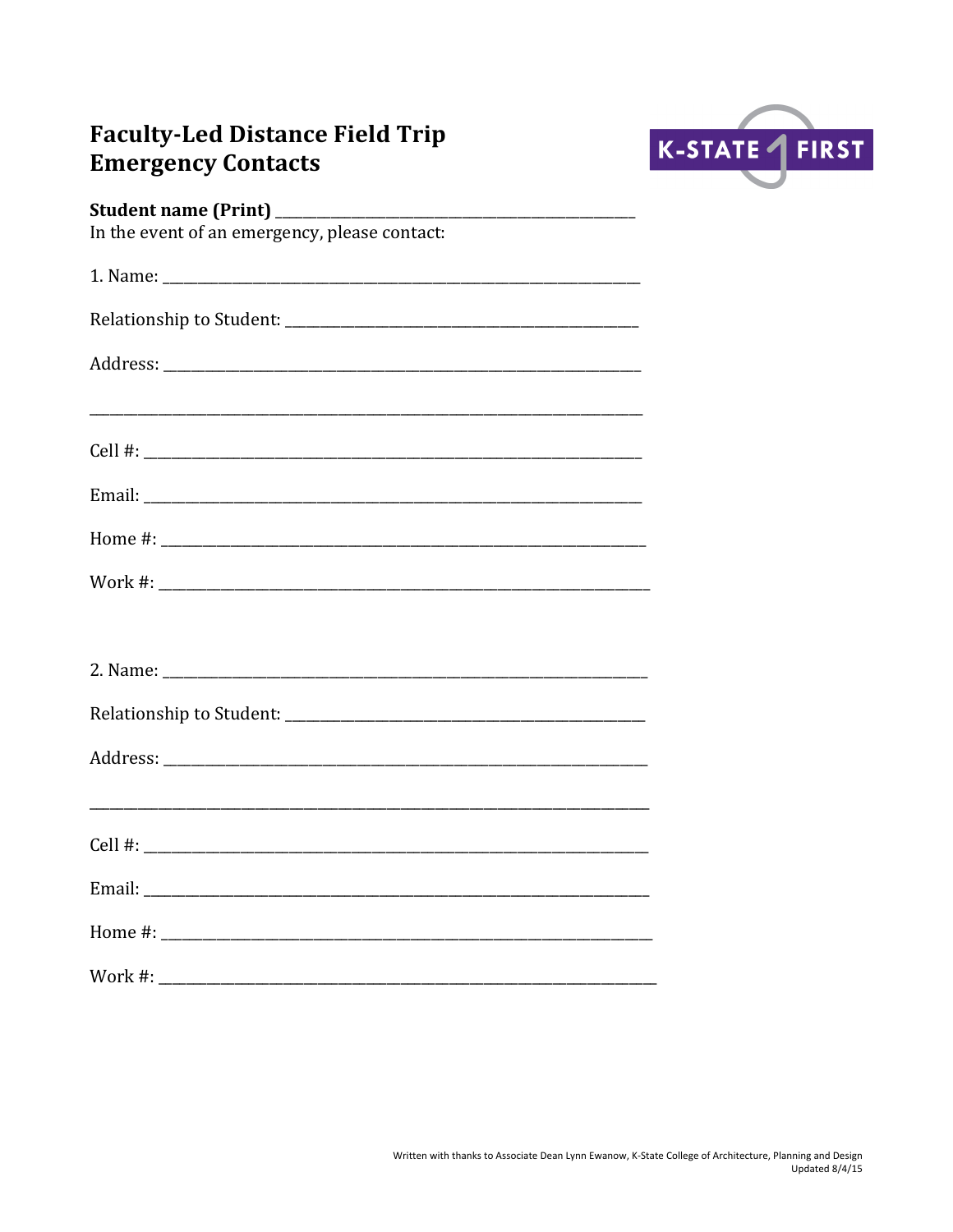# **Faculty-Led Distance Field Trip Emergency Contacts**